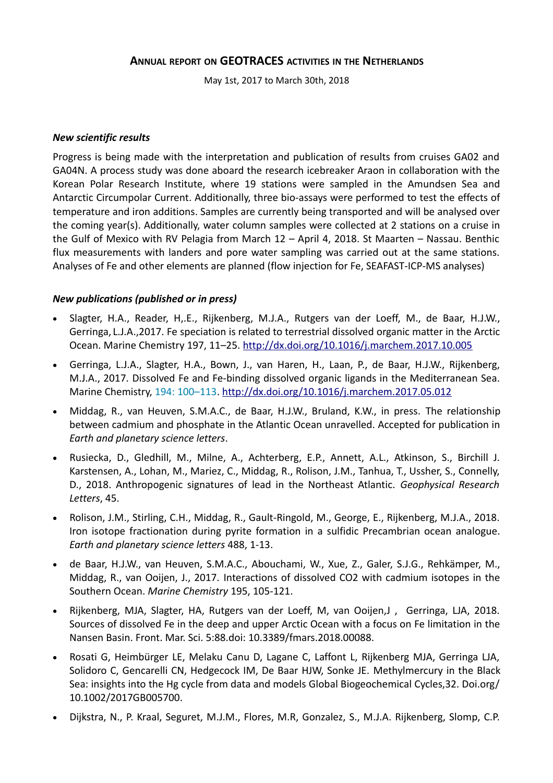# **ANNUAL REPORT ON GEOTRACES ACTIVITIES IN THE NETHERLANDS**

May 1st, 2017 to March 30th, 2018

#### *New scientific results*

Progress is being made with the interpretation and publication of results from cruises GA02 and GA04N. A process study was done aboard the research icebreaker Araon in collaboration with the Korean Polar Research Institute, where 19 stations were sampled in the Amundsen Sea and Antarctic Circumpolar Current. Additionally, three bio-assays were performed to test the effects of temperature and iron additions. Samples are currently being transported and will be analysed over the coming year(s). Additionally, water column samples were collected at 2 stations on a cruise in the Gulf of Mexico with RV Pelagia from March 12 – April 4, 2018. St Maarten – Nassau. Benthic flux measurements with landers and pore water sampling was carried out at the same stations. Analyses of Fe and other elements are planned (flow injection for Fe, SEAFAST-ICP-MS analyses)

# *New publications (published or in press)*

- Slagter, H.A., Reader, H,.E., Rijkenberg, M.J.A., Rutgers van der Loeff, M., de Baar, H.J.W., Gerringa, L.J.A.,2017. Fe speciation is related to terrestrial dissolved organic matter in the Arctic Ocean. Marine Chemistry 197, 11–25.<http://dx.doi.org/10.1016/j.marchem.2017.10.005>
- Gerringa, L.J.A., Slagter, H.A., Bown, J., van Haren, H., Laan, P., de Baar, H.J.W., Rijkenberg, M.J.A., 2017. Dissolved Fe and Fe-binding dissolved organic ligands in the Mediterranean Sea. Marine Chemistry, 194: 100–113. <http://dx.doi.org/10.1016/j.marchem.2017.05.012>
- Middag, R., van Heuven, S.M.A.C., de Baar, H.J.W., Bruland, K.W., in press. The relationship between cadmium and phosphate in the Atlantic Ocean unravelled. Accepted for publication in *Earth and planetary science letters*.
- Rusiecka, D., Gledhill, M., Milne, A., Achterberg, E.P., Annett, A.L., Atkinson, S., Birchill J. Karstensen, A., Lohan, M., Mariez, C., Middag, R., Rolison, J.M., Tanhua, T., Ussher, S., Connelly, D., 2018. Anthropogenic signatures of lead in the Northeast Atlantic. *Geophysical Research Letters*, 45.
- Rolison, J.M., Stirling, C.H., Middag, R., Gault-Ringold, M., George, E., Rijkenberg, M.J.A., 2018. Iron isotope fractionation during pyrite formation in a sulfidic Precambrian ocean analogue. *Earth and planetary science letters* 488, 1-13.
- de Baar, H.J.W., van Heuven, S.M.A.C., Abouchami, W., Xue, Z., Galer, S.J.G., Rehkämper, M., Middag, R., van Ooijen, J., 2017. Interactions of dissolved CO2 with cadmium isotopes in the Southern Ocean. *Marine Chemistry* 195, 105-121.
- Rijkenberg, MJA, Slagter, HA, Rutgers van der Loeff, M, van Ooijen,J , Gerringa, LJA, 2018. Sources of dissolved Fe in the deep and upper Arctic Ocean with a focus on Fe limitation in the Nansen Basin. Front. Mar. Sci. 5:88.doi: 10.3389/fmars.2018.00088.
- Rosati G, Heimbürger LE, Melaku Canu D, Lagane C, Laffont L, Rijkenberg MJA, Gerringa LJA, Solidoro C, Gencarelli CN, Hedgecock IM, De Baar HJW, Sonke JE. Methylmercury in the Black Sea: insights into the Hg cycle from data and models Global Biogeochemical Cycles,32. Doi.org/ 10.1002/2017GB005700.
- Dijkstra, N., P. Kraal, Seguret, M.J.M., Flores, M.R, Gonzalez, S., M.J.A. Rijkenberg, Slomp, C.P.